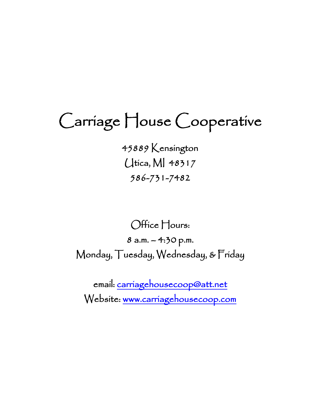# Carriage House Cooperative

45889 Kensington Utica, MI 48317 586-731-7482

Office Hours:

8 a.m. – 4:30 p.m. Monday, Tuesday, Wednesday, & Friday

email: [carriagehousecoop@att.net](mailto:carriagehousecoop@att.net)  Website: [www.carriagehousecoop.com](http://www.carriagehousecoop.com/)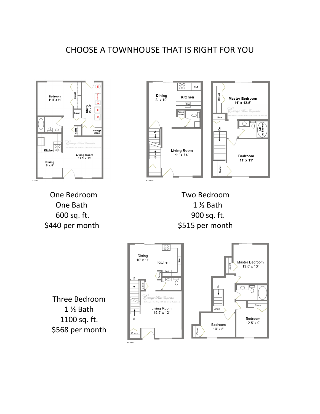# CHOOSE A TOWNHOUSE THAT IS RIGHT FOR YOU



One Bedroom Two Bedroom One Bath 1 % Bath



 600 sq. ft. 900 sq. ft. \$440 per month \$515 per month

Three Bedroom 1 ½ Bath 1100 sq. ft. \$568 per month

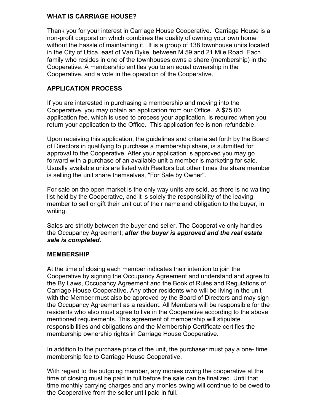#### **WHAT IS CARRIAGE HOUSE?**

Thank you for your interest in Carriage House Cooperative. Carriage House is a non-profit corporation which combines the quality of owning your own home without the hassle of maintaining it. It is a group of 138 townhouse units located in the City of Utica, east of Van Dyke, between M 59 and 21 Mile Road. Each family who resides in one of the townhouses owns a share (membership) in the Cooperative. A membership entitles you to an equal ownership in the Cooperative, and a vote in the operation of the Cooperative.

#### **APPLICATION PROCESS**

If you are interested in purchasing a membership and moving into the Cooperative, you may obtain an application from our Office. A \$75.00 application fee, which is used to process your application, is required when you return your application to the Office. This application fee is non-refundable.

Upon receiving this application, the guidelines and criteria set forth by the Board of Directors in qualifying to purchase a membership share, is submitted for approval to the Cooperative. After your application is approved you may go forward with a purchase of an available unit a member is marketing for sale. Usually available units are listed with Realtors but other times the share member is selling the unit share themselves, "For Sale by Owner".

For sale on the open market is the only way units are sold, as there is no waiting list held by the Cooperative, and it is solely the responsibility of the leaving member to sell or gift their unit out of their name and obligation to the buyer, in writing.

Sales are strictly between the buyer and seller. The Cooperative only handles the Occupancy Agreement; *after the buyer is approved and the real estate sale is completed.* 

#### **MEMBERSHIP**

At the time of closing each member indicates their intention to join the Cooperative by signing the Occupancy Agreement and understand and agree to the By Laws, Occupancy Agreement and the Book of Rules and Regulations of Carriage House Cooperative. Any other residents who will be living in the unit with the Member must also be approved by the Board of Directors and may sign the Occupancy Agreement as a resident. All Members will be responsible for the residents who also must agree to live in the Cooperative according to the above mentioned requirements. This agreement of membership will stipulate responsibilities and obligations and the Membership Certificate certifies the membership ownership rights in Carriage House Cooperative.

In addition to the purchase price of the unit, the purchaser must pay a one- time membership fee to Carriage House Cooperative.

With regard to the outgoing member, any monies owing the cooperative at the time of closing must be paid in full before the sale can be finalized. Until that time monthly carrying charges and any monies owing will continue to be owed to the Cooperative from the seller until paid in full.